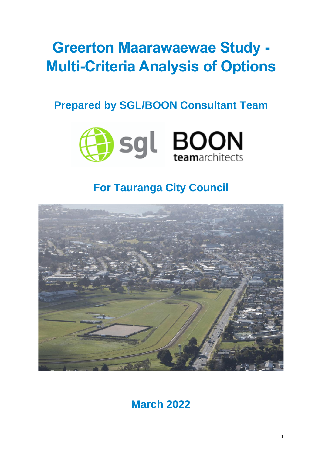# **Greerton Maarawaewae Study - Multi-Criteria Analysis of Options**

# **Prepared by SGL/BOON Consultant Team**



# **For Tauranga City Council**



**March 2022**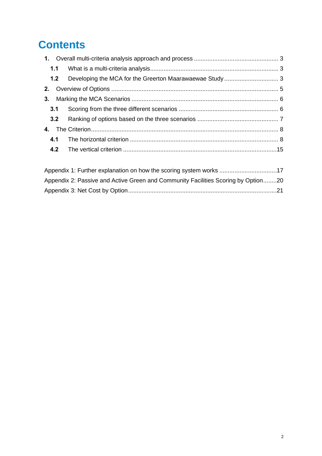# **Contents**

| 3.1 |  |
|-----|--|
|     |  |
|     |  |
| 4.1 |  |
|     |  |
|     |  |

| Appendix 1: Further explanation on how the scoring system works 17                |  |
|-----------------------------------------------------------------------------------|--|
| Appendix 2: Passive and Active Green and Community Facilities Scoring by Option20 |  |
|                                                                                   |  |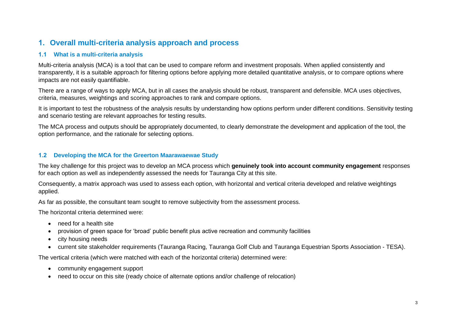### **1. Overall multi-criteria analysis approach and process**

#### **1.1 What is a multi-criteria analysis**

Multi-criteria analysis (MCA) is a tool that can be used to compare reform and investment proposals. When applied consistently and transparently, it is a suitable approach for filtering options before applying more detailed quantitative analysis, or to compare options where impacts are not easily quantifiable.

There are a range of ways to apply MCA, but in all cases the analysis should be robust, transparent and defensible. MCA uses objectives, criteria, measures, weightings and scoring approaches to rank and compare options.

It is important to test the robustness of the analysis results by understanding how options perform under different conditions. Sensitivity testing and scenario testing are relevant approaches for testing results.

The MCA process and outputs should be appropriately documented, to clearly demonstrate the development and application of the tool, the option performance, and the rationale for selecting options.

#### **1.2 Developing the MCA for the Greerton Maarawaewae Study**

<span id="page-2-0"></span>The key challenge for this project was to develop an MCA process which **genuinely took into account community engagement** responses for each option as well as independently assessed the needs for Tauranga City at this site.

<span id="page-2-1"></span>Consequently, a matrix approach was used to assess each option, with horizontal and vertical criteria developed and relative weightings applied.

As far as possible, the consultant team sought to remove subjectivity from the assessment process.

The horizontal criteria determined were:

- need for a health site
- provision of green space for 'broad' public benefit plus active recreation and community facilities
- city housing needs
- current site stakeholder requirements (Tauranga Racing, Tauranga Golf Club and Tauranga Equestrian Sports Association TESA).

The vertical criteria (which were matched with each of the horizontal criteria) determined were:

- community engagement support
- <span id="page-2-2"></span>• need to occur on this site (ready choice of alternate options and/or challenge of relocation)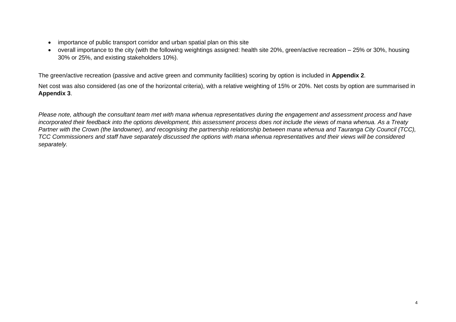- importance of public transport corridor and urban spatial plan on this site
- overall importance to the city (with the following weightings assigned: health site 20%, green/active recreation 25% or 30%, housing 30% or 25%, and existing stakeholders 10%).

The green/active recreation (passive and active green and community facilities) scoring by option is included in **Appendix 2**.

Net cost was also considered (as one of the horizontal criteria), with a relative weighting of 15% or 20%. Net costs by option are summarised in **Appendix 3**.

*Please note, although the consultant team met with mana whenua representatives during the engagement and assessment process and have incorporated their feedback into the options development, this assessment process does not include the views of mana whenua. As a Treaty Partner with the Crown (the landowner), and recognising the partnership relationship between mana whenua and Tauranga City Council (TCC), TCC Commissioners and staff have separately discussed the options with mana whenua representatives and their views will be considered separately.*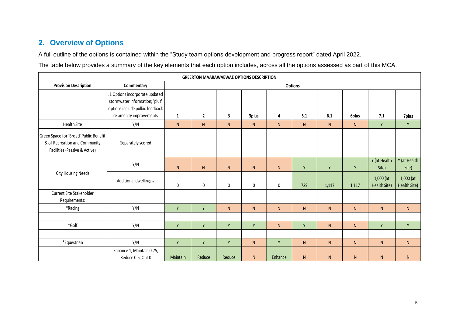# **2. Overview of Options**

A full outline of the options is contained within the "Study team options development and progress report" dated April 2022.

The table below provides a summary of the key elements that each option includes, across all the options assessed as part of this MCA.

<span id="page-4-0"></span>

| <b>GREERTON MAARAWAEWAE OPTIONS DESCRIPTION</b>                                                          |                                                                                                                                |              |              |                         |              |           |                |           |           |                             |                             |
|----------------------------------------------------------------------------------------------------------|--------------------------------------------------------------------------------------------------------------------------------|--------------|--------------|-------------------------|--------------|-----------|----------------|-----------|-----------|-----------------------------|-----------------------------|
| <b>Provision Description</b>                                                                             | Commentary                                                                                                                     |              |              |                         |              |           | <b>Options</b> |           |           |                             |                             |
|                                                                                                          | .1 Options incorporate updated<br>stormwater information; 'plus'<br>options include pulbic feedback<br>re amenity improvements | $\mathbf{1}$ | $\mathbf{2}$ | $\overline{\mathbf{3}}$ | 3plus        | 4         | 5.1            | 6.1       | 6plus     | 7.1                         | 7plus                       |
| <b>Health Site</b>                                                                                       | Y/N                                                                                                                            | ${\sf N}$    | ${\sf N}$    | ${\sf N}$               | ${\sf N}$    | N         | N              | N         | ${\sf N}$ | Y                           | Y                           |
| Green Space for 'Broad' Public Benefit<br>& of Recreation and Community<br>Facilities (Passive & Active) | Separately scored                                                                                                              |              |              |                         |              |           |                |           |           |                             |                             |
|                                                                                                          | Y/N                                                                                                                            | N            | ${\sf N}$    | N                       | ${\sf N}$    | ${\sf N}$ | Y              | Y         | Y         | Y (at Health<br>Site)       | Y (at Health<br>Site)       |
| <b>City Housing Needs</b>                                                                                | Additional dwellings #                                                                                                         | 0            | 0            | $\mathbf 0$             | 0            | 0         | 729            | 1,117     | 1,117     | $1,000$ (at<br>Health Site) | $1,000$ (at<br>Health Site) |
| Current Site Stakeholder<br>Requirements:                                                                |                                                                                                                                |              |              |                         |              |           |                |           |           |                             |                             |
| *Racing                                                                                                  | Y/N                                                                                                                            | Y            | Y            | N                       | $\mathsf{N}$ | ${\sf N}$ | N              | ${\sf N}$ | N         | ${\sf N}$                   | N                           |
|                                                                                                          |                                                                                                                                |              |              |                         |              |           |                |           |           |                             |                             |
| *Golf                                                                                                    | Y/N                                                                                                                            | Y            | Y            | Y                       | Y            | N         | Y              | N         | N         | Y                           | Y                           |
|                                                                                                          |                                                                                                                                |              |              |                         |              |           |                |           |           |                             |                             |
| *Equestrian                                                                                              | Y/N                                                                                                                            | Y            | Y            | Y                       | ${\sf N}$    | Y         | N              | N         | N         | ${\sf N}$                   | ${\sf N}$                   |
|                                                                                                          | Enhance 1, Maintain 0.75,<br>Reduce 0.5, Out 0                                                                                 | Maintain     | Reduce       | Reduce                  | ${\sf N}$    | Enhance   | N              | N.        | N         | N                           | N                           |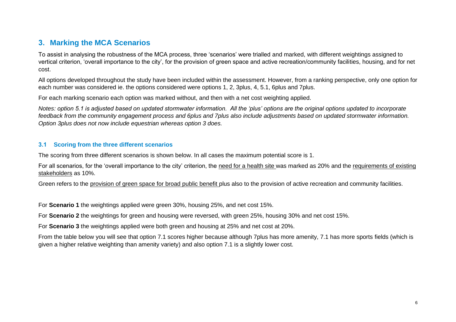### **3. Marking the MCA Scenarios**

To assist in analysing the robustness of the MCA process, three 'scenarios' were trialled and marked, with different weightings assigned to vertical criterion, 'overall importance to the city', for the provision of green space and active recreation/community facilities, housing, and for net cost.

All options developed throughout the study have been included within the assessment. However, from a ranking perspective, only one option for each number was considered ie. the options considered were options 1, 2, 3plus, 4, 5.1, 6plus and 7plus.

For each marking scenario each option was marked without, and then with a net cost weighting applied.

*Notes: option 5.1 is adjusted based on updated stormwater information. All the 'plus' options are the original options updated to incorporate feedback from the community engagement process and 6plus and 7plus also include adjustments based on updated stormwater information. Option 3plus does not now include equestrian whereas option 3 does.*

#### **3.1 Scoring from the three different scenarios**

The scoring from three different scenarios is shown below. In all cases the maximum potential score is 1.

<span id="page-5-0"></span>For all scenarios, for the 'overall importance to the city' criterion, the need for a health site was marked as 20% and the requirements of existing stakeholders as 10%.

Green refers to the provision of green space for broad public benefit plus also to the provision of active recreation and community facilities.

For **Scenario 1** the weightings applied were green 30%, housing 25%, and net cost 15%.

For **Scenario 2** the weightings for green and housing were reversed, with green 25%, housing 30% and net cost 15%.

For **Scenario 3** the weightings applied were both green and housing at 25% and net cost at 20%.

<span id="page-5-1"></span>From the table below you will see that option 7.1 scores higher because although 7plus has more amenity, 7.1 has more sports fields (which is given a higher relative weighting than amenity variety) and also option 7.1 is a slightly lower cost.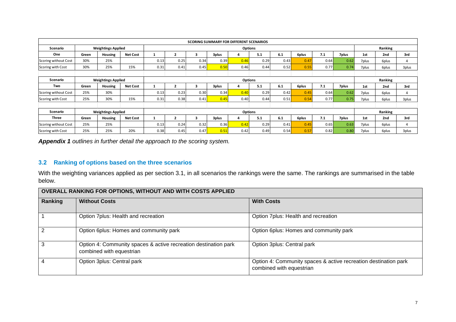|                      |       |                           |                 |      |      |      |       | <b>SCORING SUMMARY FOR DIFFERENT SCENARIOS</b> |      |      |       |      |       |       |         |       |
|----------------------|-------|---------------------------|-----------------|------|------|------|-------|------------------------------------------------|------|------|-------|------|-------|-------|---------|-------|
| Scenario             |       | <b>Weightings Applied</b> |                 |      |      |      |       | <b>Options</b>                                 |      |      |       |      |       |       | Ranking |       |
| One                  | Green | Housing                   | <b>Net Cost</b> |      |      | 3    | 3plus | 4                                              | 5.1  | 6.1  | 6plus | 7.1  | 7plus | 1st   | 2nd     | 3rd   |
| Scoring without Cost | 30%   | 25%                       |                 | 0.13 | 0.25 | 0.34 | 0.39  | 0.46                                           | 0.29 | 0.43 | 0.47  | 0.64 | 0.62  | 7plus | 6plus   | 4     |
| Scoring with Cost    | 30%   | 25%                       | 15%             | 0.31 | 0.41 | 0.45 | 0.50  | 0.46                                           | 0.44 | 0.52 | 0.55  | 0.77 | 0.74  | 7plus | 6plus   | 3plus |
|                      |       |                           |                 |      |      |      |       |                                                |      |      |       |      |       |       |         |       |
| Scenario             |       | <b>Weightings Applied</b> |                 |      |      |      |       | <b>Options</b>                                 |      |      |       |      |       |       | Ranking |       |
| Two                  | Green | Housing                   | <b>Net Cost</b> |      |      | 3    | 3plus | 4                                              | 5.1  | 6.1  | 6plus | 7.1  | 7plus | 1st   | 2nd     | 3rd   |
| Scoring without Cost | 25%   | 30%                       |                 | 0.13 | 0.23 | 0.30 | 0.34  | 0.40                                           | 0.29 | 0.42 | 0.45  | 0.64 | 0.62  | 7plus | 6plus   | 4     |
| Scoring with Cost    | 25%   | 30%                       | 15%             | 0.31 | 0.38 | 0.41 | 0.45  | 0.40                                           | 0.44 | 0.51 | 0.54  | 0.77 | 0.75  | 7plus | 6plus   | 3plus |
|                      |       |                           |                 |      |      |      |       |                                                |      |      |       |      |       |       |         |       |
| Scenario             |       | <b>Weightings Applied</b> |                 |      |      |      |       | <b>Options</b>                                 |      |      |       |      |       |       | Ranking |       |
| <b>Three</b>         | Green | <b>Housing</b>            | <b>Net Cost</b> |      |      | 3    | 3plus | 4                                              | 5.1  | 6.1  | 6plus | 7.1  | 7plus | 1st   | 2nd     | 3rd   |
| Scoring without Cost | 25%   | 25%                       |                 | 0.13 | 0.24 | 0.32 | 0.36  | 0.42                                           | 0.29 | 0.41 | 0.45  | 0.65 | 0.63  | 7plus | 6plus   | 4     |
| Scoring with Cost    | 25%   | 25%                       | 20%             | 0.38 | 0.45 | 0.47 | 0.51  | 0.42                                           | 0.49 | 0.54 | 0.57  | 0.82 | 0.80  | 7plus | 6plus   | 3plus |

*Appendix 1 outlines in further detail the approach to the scoring system.*

#### **3.2 Ranking of options based on the three scenarios**

With the weighting variances applied as per section 3.1, in all scenarios the rankings were the same. The rankings are summarised in the table below.

<span id="page-6-0"></span>

| OVERALL RANKING FOR OPTIONS, WITHOUT AND WITH COSTS APPLIED |                                                                                             |                                                                                             |  |  |  |
|-------------------------------------------------------------|---------------------------------------------------------------------------------------------|---------------------------------------------------------------------------------------------|--|--|--|
| Ranking                                                     | <b>Without Costs</b>                                                                        | <b>With Costs</b>                                                                           |  |  |  |
|                                                             | Option 7plus: Health and recreation                                                         | Option 7plus: Health and recreation                                                         |  |  |  |
| $\mathcal{P}$                                               | Option 6plus: Homes and community park                                                      | Option 6plus: Homes and community park                                                      |  |  |  |
| 3                                                           | Option 4: Community spaces & active recreation destination park<br>combined with equestrian | Option 3plus: Central park                                                                  |  |  |  |
| 4                                                           | Option 3plus: Central park                                                                  | Option 4: Community spaces & active recreation destination park<br>combined with equestrian |  |  |  |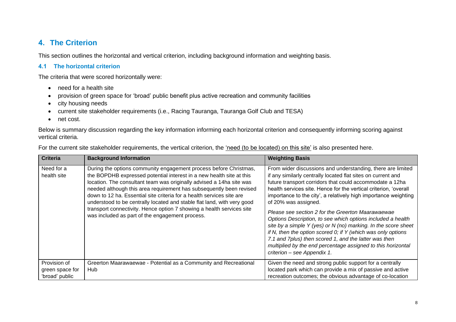## **4. The Criterion**

This section outlines the horizontal and vertical criterion, including background information and weighting basis.

#### **4.1 The horizontal criterion**

The criteria that were scored horizontally were:

- need for a health site
- provision of green space for 'broad' public benefit plus active recreation and community facilities
- city housing needs
- current site stakeholder requirements (i.e., Racing Tauranga, Tauranga Golf Club and TESA)
- net cost.

Below is summary discussion regarding the key information informing each horizontal criterion and consequently informing scoring against vertical criteria.

| For the current site stakeholder requirements, the vertical criterion, the 'need (to be located) on this site' is also presented here. |  |  |  |
|----------------------------------------------------------------------------------------------------------------------------------------|--|--|--|
|----------------------------------------------------------------------------------------------------------------------------------------|--|--|--|

<span id="page-7-1"></span><span id="page-7-0"></span>

| <b>Criteria</b>                                   | <b>Background Information</b>                                                                                                                                                                                                                                                                                                                                                                                                                                                                                                                                            | <b>Weighting Basis</b>                                                                                                                                                                                                                                                                                                                                                                                                                                                                                                                                                                                                                                                                                                                                                  |
|---------------------------------------------------|--------------------------------------------------------------------------------------------------------------------------------------------------------------------------------------------------------------------------------------------------------------------------------------------------------------------------------------------------------------------------------------------------------------------------------------------------------------------------------------------------------------------------------------------------------------------------|-------------------------------------------------------------------------------------------------------------------------------------------------------------------------------------------------------------------------------------------------------------------------------------------------------------------------------------------------------------------------------------------------------------------------------------------------------------------------------------------------------------------------------------------------------------------------------------------------------------------------------------------------------------------------------------------------------------------------------------------------------------------------|
| Need for a<br>health site                         | During the options community engagement process before Christmas,<br>the BOPDHB expressed potential interest in a new health site at this<br>location. The consultant team was originally advised a 14ha site was<br>needed although this area requirement has subsequently been revised<br>down to 12 ha. Essential site criteria for a health services site are<br>understood to be centrally located and stable flat land, with very good<br>transport connectivity. Hence option 7 showing a health services site<br>was included as part of the engagement process. | From wider discussions and understanding, there are limited<br>if any similarly centrally located flat sites on current and<br>future transport corridors that could accommodate a 12ha<br>health services site. Hence for the vertical criterion, 'overall<br>importance to the city', a relatively high importance weighting<br>of 20% was assigned.<br>Please see section 2 for the Greerton Maarawaewae<br>Options Description, to see which options included a health<br>site by a simple Y (yes) or N (no) marking. In the score sheet<br>if N, then the option scored $0$ ; if Y (which was only options<br>7.1 and 7plus) then scored 1, and the latter was then<br>multiplied by the end percentage assigned to this horizontal<br>criterion - see Appendix 1. |
| Provision of<br>green space for<br>'broad' public | Greerton Maarawaewae - Potential as a Community and Recreational<br>Hub                                                                                                                                                                                                                                                                                                                                                                                                                                                                                                  | Given the need and strong public support for a centrally<br>located park which can provide a mix of passive and active<br>recreation outcomes; the obvious advantage of co-location                                                                                                                                                                                                                                                                                                                                                                                                                                                                                                                                                                                     |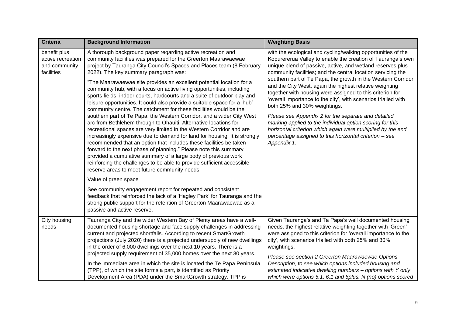| <b>Criteria</b>                                                  | <b>Background Information</b>                                                                                                                                                                                                                                                                                                                                                                                                                                                                                                                                                                                                                                                                                                                                                                                                                                                                                                                                                                                                                                                                                                                                                                                                                                                                   | <b>Weighting Basis</b>                                                                                                                                                                                                                                                                                                                                                                                                                                                                                                                                                                                                                                                                                                                                                                                          |
|------------------------------------------------------------------|-------------------------------------------------------------------------------------------------------------------------------------------------------------------------------------------------------------------------------------------------------------------------------------------------------------------------------------------------------------------------------------------------------------------------------------------------------------------------------------------------------------------------------------------------------------------------------------------------------------------------------------------------------------------------------------------------------------------------------------------------------------------------------------------------------------------------------------------------------------------------------------------------------------------------------------------------------------------------------------------------------------------------------------------------------------------------------------------------------------------------------------------------------------------------------------------------------------------------------------------------------------------------------------------------|-----------------------------------------------------------------------------------------------------------------------------------------------------------------------------------------------------------------------------------------------------------------------------------------------------------------------------------------------------------------------------------------------------------------------------------------------------------------------------------------------------------------------------------------------------------------------------------------------------------------------------------------------------------------------------------------------------------------------------------------------------------------------------------------------------------------|
| benefit plus<br>active recreation<br>and community<br>facilities | A thorough background paper regarding active recreation and<br>community facilities was prepared for the Greerton Maarawaewae<br>project by Tauranga City Council's Spaces and Places team (8 February<br>2022). The key summary paragraph was:<br>"The Maarawaewae site provides an excellent potential location for a<br>community hub, with a focus on active living opportunities, including<br>sports fields, indoor courts, hardcourts and a suite of outdoor play and<br>leisure opportunities. It could also provide a suitable space for a 'hub'<br>community centre. The catchment for these facilities would be the<br>southern part of Te Papa, the Western Corridor, and a wider City West<br>arc from Bethlehem through to Ohauiti. Alternative locations for<br>recreational spaces are very limited in the Western Corridor and are<br>increasingly expensive due to demand for land for housing. It is strongly<br>recommended that an option that includes these facilities be taken<br>forward to the next phase of planning." Please note this summary<br>provided a cumulative summary of a large body of previous work<br>reinforcing the challenges to be able to provide sufficient accessible<br>reserve areas to meet future community needs.<br>Value of green space | with the ecological and cycling/walking opportunities of the<br>Kopurererua Valley to enable the creation of Tauranga's own<br>unique blend of passive, active, and wetland reserves plus<br>community facilities; and the central location servicing the<br>southern part of Te Papa, the growth in the Western Corridor<br>and the City West, again the highest relative weighting<br>together with housing were assigned to this criterion for<br>'overall importance to the city', with scenarios trialled with<br>both 25% and 30% weightings.<br>Please see Appendix 2 for the separate and detailed<br>marking applied to the individual option scoring for this<br>horizontal criterion which again were multiplied by the end<br>percentage assigned to this horizontal criterion - see<br>Appendix 1. |
|                                                                  | See community engagement report for repeated and consistent<br>feedback that reinforced the lack of a 'Hagley Park' for Tauranga and the<br>strong public support for the retention of Greerton Maarawaewae as a<br>passive and active reserve.                                                                                                                                                                                                                                                                                                                                                                                                                                                                                                                                                                                                                                                                                                                                                                                                                                                                                                                                                                                                                                                 |                                                                                                                                                                                                                                                                                                                                                                                                                                                                                                                                                                                                                                                                                                                                                                                                                 |
| City housing<br>needs                                            | Tauranga City and the wider Western Bay of Plenty areas have a well-<br>documented housing shortage and face supply challenges in addressing<br>current and projected shortfalls. According to recent SmartGrowth<br>projections (July 2020) there is a projected undersupply of new dwellings<br>in the order of 6,000 dwellings over the next 10 years. There is a<br>projected supply requirement of 35,000 homes over the next 30 years.<br>In the immediate area in which the site is located the Te Papa Peninsula<br>(TPP), of which the site forms a part, is identified as Priority<br>Development Area (PDA) under the SmartGrowth strategy. TPP is                                                                                                                                                                                                                                                                                                                                                                                                                                                                                                                                                                                                                                   | Given Tauranga's and Ta Papa's well documented housing<br>needs, the highest relative weighting together with 'Green'<br>were assigned to this criterion for 'overall importance to the<br>city', with scenarios trialled with both 25% and 30%<br>weightings.<br>Please see section 2 Greerton Maarawaewae Options<br>Description, to see which options included housing and<br>estimated indicative dwelling numbers - options with Y only<br>which were options 5.1, 6.1 and 6plus. N (no) options scored                                                                                                                                                                                                                                                                                                    |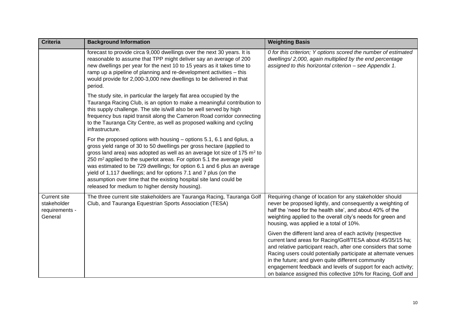| <b>Criteria</b>                                                 | <b>Background Information</b>                                                                                                                                                                                                                                                                                                                                                                                                                                                                                                                                                                        | <b>Weighting Basis</b>                                                                                                                                                                                                                                                                                                                                                                                                                            |
|-----------------------------------------------------------------|------------------------------------------------------------------------------------------------------------------------------------------------------------------------------------------------------------------------------------------------------------------------------------------------------------------------------------------------------------------------------------------------------------------------------------------------------------------------------------------------------------------------------------------------------------------------------------------------------|---------------------------------------------------------------------------------------------------------------------------------------------------------------------------------------------------------------------------------------------------------------------------------------------------------------------------------------------------------------------------------------------------------------------------------------------------|
|                                                                 | forecast to provide circa 9,000 dwellings over the next 30 years. It is<br>reasonable to assume that TPP might deliver say an average of 200<br>new dwellings per year for the next 10 to 15 years as it takes time to<br>ramp up a pipeline of planning and re-development activities - this<br>would provide for 2,000-3,000 new dwellings to be delivered in that<br>period.                                                                                                                                                                                                                      | 0 for this criterion; Y options scored the number of estimated<br>dwellings/2,000, again multiplied by the end percentage<br>assigned to this horizontal criterion - see Appendix 1.                                                                                                                                                                                                                                                              |
|                                                                 | The study site, in particular the largely flat area occupied by the<br>Tauranga Racing Club, is an option to make a meaningful contribution to<br>this supply challenge. The site is/will also be well served by high<br>frequency bus rapid transit along the Cameron Road corridor connecting<br>to the Tauranga City Centre, as well as proposed walking and cycling<br>infrastructure.                                                                                                                                                                                                           |                                                                                                                                                                                                                                                                                                                                                                                                                                                   |
|                                                                 | For the proposed options with housing – options 5.1, 6.1 and 6plus, a<br>gross yield range of 30 to 50 dwellings per gross hectare (applied to<br>gross land area) was adopted as well as an average lot size of 175 m <sup>2</sup> to<br>250 m <sup>2</sup> applied to the superlot areas. For option 5.1 the average yield<br>was estimated to be 729 dwellings; for option 6.1 and 6 plus an average<br>yield of 1,117 dwellings; and for options 7.1 and 7 plus (on the<br>assumption over time that the existing hospital site land could be<br>released for medium to higher density housing). |                                                                                                                                                                                                                                                                                                                                                                                                                                                   |
| <b>Current site</b><br>stakeholder<br>requirements -<br>General | The three current site stakeholders are Tauranga Racing, Tauranga Golf<br>Club, and Tauranga Equestrian Sports Association (TESA)                                                                                                                                                                                                                                                                                                                                                                                                                                                                    | Requiring change of location for any stakeholder should<br>never be proposed lightly, and consequently a weighting of<br>half the 'need for the health site', and about 40% of the<br>weighting applied to the overall city's needs for green and<br>housing, was applied ie a total of 10%.                                                                                                                                                      |
|                                                                 |                                                                                                                                                                                                                                                                                                                                                                                                                                                                                                                                                                                                      | Given the different land area of each activity (respective<br>current land areas for Racing/Golf/TESA about 45/35/15 ha;<br>and relative participant reach, after one considers that some<br>Racing users could potentially participate at alternate venues<br>in the future; and given quite different community<br>engagement feedback and levels of support for each activity;<br>on balance assigned this collective 10% for Racing, Golf and |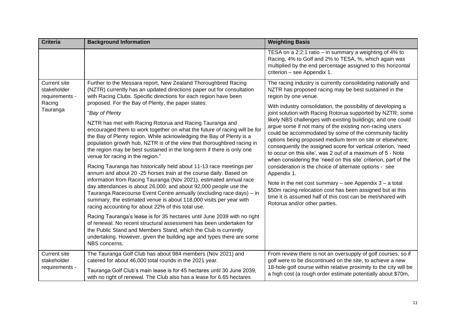| <b>Criteria</b>                                                            | <b>Background Information</b>                                                                                                                                                                                                                                                                                                                                                                                                                                                                                                                                                                                                                                                                                                                                                                                                                                                                                                                                                                                                                                                                                                                                                                                                                                                                                                                                                                                                                                                                          | <b>Weighting Basis</b>                                                                                                                                                                                                                                                                                                                                                                                                                                                                                                                                                                                                                                                                                                                                                                                                                                                                                                                                                                                                               |
|----------------------------------------------------------------------------|--------------------------------------------------------------------------------------------------------------------------------------------------------------------------------------------------------------------------------------------------------------------------------------------------------------------------------------------------------------------------------------------------------------------------------------------------------------------------------------------------------------------------------------------------------------------------------------------------------------------------------------------------------------------------------------------------------------------------------------------------------------------------------------------------------------------------------------------------------------------------------------------------------------------------------------------------------------------------------------------------------------------------------------------------------------------------------------------------------------------------------------------------------------------------------------------------------------------------------------------------------------------------------------------------------------------------------------------------------------------------------------------------------------------------------------------------------------------------------------------------------|--------------------------------------------------------------------------------------------------------------------------------------------------------------------------------------------------------------------------------------------------------------------------------------------------------------------------------------------------------------------------------------------------------------------------------------------------------------------------------------------------------------------------------------------------------------------------------------------------------------------------------------------------------------------------------------------------------------------------------------------------------------------------------------------------------------------------------------------------------------------------------------------------------------------------------------------------------------------------------------------------------------------------------------|
|                                                                            |                                                                                                                                                                                                                                                                                                                                                                                                                                                                                                                                                                                                                                                                                                                                                                                                                                                                                                                                                                                                                                                                                                                                                                                                                                                                                                                                                                                                                                                                                                        | TESA on a 2:2:1 ratio $-$ in summary a weighting of 4% to<br>Racing, 4% to Golf and 2% to TESA, %, which again was<br>multiplied by the end percentage assigned to this horizontal<br>criterion - see Appendix 1.                                                                                                                                                                                                                                                                                                                                                                                                                                                                                                                                                                                                                                                                                                                                                                                                                    |
| <b>Current site</b><br>stakeholder<br>requirements -<br>Racing<br>Tauranga | Further to the Messara report, New Zealand Thoroughbred Racing<br>(NZTR) currently has an updated directions paper out for consultation<br>with Racing Clubs. Specific directions for each region have been<br>proposed. For the Bay of Plenty, the paper states:<br>"Bay of Plenty<br>NZTR has met with Racing Rotorua and Racing Tauranga and<br>encouraged them to work together on what the future of racing will be for<br>the Bay of Plenty region. While acknowledging the Bay of Plenty is a<br>population growth hub, NZTR is of the view that thoroughbred racing in<br>the region may be best sustained in the long-term if there is only one<br>venue for racing in the region."<br>Racing Tauranga has historically held about 11-13 race meetings per<br>annum and about 20 -25 horses train at the course daily. Based on<br>information from Racing Tauranga (Nov 2021), estimated annual race<br>day attendances is about 26,000; and about 92,000 people use the<br>Tauranga Racecourse Event Centre annually (excluding race days) - in<br>summary, the estimated venue is about 118,000 visits per year with<br>racing accounting for about 22% of this total use.<br>Racing Tauranga's lease is for 35 hectares until June 2039 with no right<br>of renewal. No recent structural assessment has been undertaken for<br>the Public Stand and Members Stand, which the Club is currently<br>undertaking. However, given the building age and types there are some<br>NBS concerns. | The racing industry is currently consolidating nationally and<br>NZTR has proposed racing may be best sustained in the<br>region by one venue.<br>With industry consolidation, the possibility of developing a<br>joint solution with Racing Rotorua supported by NZTR; some<br>likely NBS challenges with existing buildings; and one could<br>argue some if not many of the existing non-racing users<br>could be accommodated by some of the community facility<br>options being proposed medium term on site or elsewhere;<br>consequently the assigned score for vertical criterion, 'need<br>to occur on this site', was 2 out of a maximum of 5 - Note<br>when considering the 'need on this site' criterion, part of the<br>consideration is the choice of alternate options - see<br>Appendix 1.<br>Note in the net cost summary – see Appendix $3 - a$ total<br>\$50m racing relocation cost has been assigned but at this<br>time it is assumed half of this cost can be met/shared with<br>Rotorua and/or other parties. |
| <b>Current site</b><br>stakeholder<br>requirements -                       | The Tauranga Golf Club has about 984 members (Nov 2021) and<br>catered for about 46,000 total rounds in the 2021 year.<br>Tauranga Golf Club's main lease is for 45 hectares until 30 June 2039,<br>with no right of renewal. The Club also has a lease for 6.65 hectares                                                                                                                                                                                                                                                                                                                                                                                                                                                                                                                                                                                                                                                                                                                                                                                                                                                                                                                                                                                                                                                                                                                                                                                                                              | From review there is not an oversupply of golf courses, so if<br>golf were to be discontinued on the site, to achieve a new<br>18-hole golf course within relative proximity to the city will be<br>a high cost (a rough order estimate potentially about \$70m,                                                                                                                                                                                                                                                                                                                                                                                                                                                                                                                                                                                                                                                                                                                                                                     |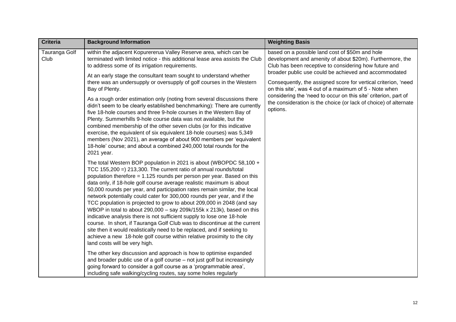| <b>Criteria</b>       | <b>Background Information</b>                                                                                                                                                                                                                                                                                                                                                                                                                                                                                                                                                                                                                                                                                                                                                                                                                                                                                                                    | <b>Weighting Basis</b>                                                                                                                                                            |
|-----------------------|--------------------------------------------------------------------------------------------------------------------------------------------------------------------------------------------------------------------------------------------------------------------------------------------------------------------------------------------------------------------------------------------------------------------------------------------------------------------------------------------------------------------------------------------------------------------------------------------------------------------------------------------------------------------------------------------------------------------------------------------------------------------------------------------------------------------------------------------------------------------------------------------------------------------------------------------------|-----------------------------------------------------------------------------------------------------------------------------------------------------------------------------------|
| Tauranga Golf<br>Club | within the adjacent Kopurererua Valley Reserve area, which can be<br>terminated with limited notice - this additional lease area assists the Club<br>to address some of its irrigation requirements.                                                                                                                                                                                                                                                                                                                                                                                                                                                                                                                                                                                                                                                                                                                                             | based on a possible land cost of \$50m and hole<br>development and amenity of about \$20m). Furthermore, the<br>Club has been receptive to considering how future and             |
|                       | At an early stage the consultant team sought to understand whether<br>there was an undersupply or oversupply of golf courses in the Western<br>Bay of Plenty.                                                                                                                                                                                                                                                                                                                                                                                                                                                                                                                                                                                                                                                                                                                                                                                    | broader public use could be achieved and accommodated<br>Consequently, the assigned score for vertical criterion, 'need<br>on this site', was 4 out of a maximum of 5 - Note when |
|                       | As a rough order estimation only (noting from several discussions there<br>didn't seem to be clearly established benchmarking): There are currently<br>five 18-hole courses and three 9-hole courses in the Western Bay of<br>Plenty. Summerhills 9-hole course data was not available, but the<br>combined membership of the other seven clubs (or for this indicative<br>exercise, the equivalent of six equivalent 18-hole courses) was 5,349<br>members (Nov 2021), an average of about 900 members per 'equivalent<br>18-hole' course; and about a combined 240,000 total rounds for the<br>2021 year.                                                                                                                                                                                                                                                                                                                                      | considering the 'need to occur on this site' criterion, part of<br>the consideration is the choice (or lack of choice) of alternate<br>options.                                   |
|                       | The total Western BOP population in 2021 is about (WBOPDC 58,100 +<br>TCC 155,200 =) 213,300. The current ratio of annual rounds/total<br>population therefore = 1.125 rounds per person per year. Based on this<br>data only, if 18-hole golf course average realistic maximum is about<br>50,000 rounds per year, and participation rates remain similar, the local<br>network potentially could cater for 300,000 rounds per year, and if the<br>TCC population is projected to grow to about 209,000 in 2048 (and say<br>WBOP in total to about 290,000 - say 209k/155k x 213k), based on this<br>indicative analysis there is not sufficient supply to lose one 18-hole<br>course. In short, if Tauranga Golf Club was to discontinue at the current<br>site then it would realistically need to be replaced, and if seeking to<br>achieve a new 18-hole golf course within relative proximity to the city<br>land costs will be very high. |                                                                                                                                                                                   |
|                       | The other key discussion and approach is how to optimise expanded<br>and broader public use of a golf course - not just golf but increasingly<br>going forward to consider a golf course as a 'programmable area',<br>including safe walking/cycling routes, say some holes regularly                                                                                                                                                                                                                                                                                                                                                                                                                                                                                                                                                                                                                                                            |                                                                                                                                                                                   |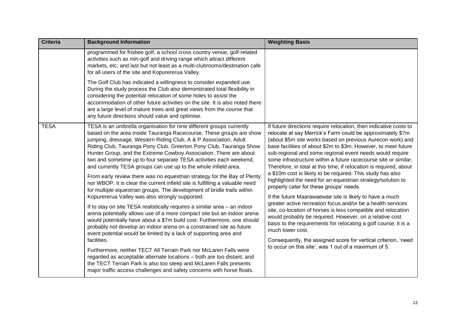| <b>Criteria</b> | <b>Background Information</b>                                                                                                                                                                                                                                                                                                                                                                                                                                                                                                                                                                                                                                                                                                                                                                                                                                                                                                                                                                                                                                                                                                                                                                                                                                                                                                                                                                                                                                                               | <b>Weighting Basis</b>                                                                                                                                                                                                                                                                                                                                                                                                                                                                                                                                                                                                                                                                                                                                                                                                                                                                                                                                                                                                                                                                                              |
|-----------------|---------------------------------------------------------------------------------------------------------------------------------------------------------------------------------------------------------------------------------------------------------------------------------------------------------------------------------------------------------------------------------------------------------------------------------------------------------------------------------------------------------------------------------------------------------------------------------------------------------------------------------------------------------------------------------------------------------------------------------------------------------------------------------------------------------------------------------------------------------------------------------------------------------------------------------------------------------------------------------------------------------------------------------------------------------------------------------------------------------------------------------------------------------------------------------------------------------------------------------------------------------------------------------------------------------------------------------------------------------------------------------------------------------------------------------------------------------------------------------------------|---------------------------------------------------------------------------------------------------------------------------------------------------------------------------------------------------------------------------------------------------------------------------------------------------------------------------------------------------------------------------------------------------------------------------------------------------------------------------------------------------------------------------------------------------------------------------------------------------------------------------------------------------------------------------------------------------------------------------------------------------------------------------------------------------------------------------------------------------------------------------------------------------------------------------------------------------------------------------------------------------------------------------------------------------------------------------------------------------------------------|
|                 | programmed for frisbee golf, a school cross country venue, golf-related<br>activities such as min-golf and driving range which attract different<br>markets, etc; and last but not least as a multi-clubrooms/destination cafe<br>for all users of the site and Kopurererua Valley.                                                                                                                                                                                                                                                                                                                                                                                                                                                                                                                                                                                                                                                                                                                                                                                                                                                                                                                                                                                                                                                                                                                                                                                                         |                                                                                                                                                                                                                                                                                                                                                                                                                                                                                                                                                                                                                                                                                                                                                                                                                                                                                                                                                                                                                                                                                                                     |
|                 | The Golf Club has indicated a willingness to consider expanded use.<br>During the study process the Club also demonstrated total flexibility in<br>considering the potential relocation of some holes to assist the<br>accommodation of other future activities on the site. It is also noted there<br>are a large level of mature trees and great views from the course that<br>any future directions should value and optimise.                                                                                                                                                                                                                                                                                                                                                                                                                                                                                                                                                                                                                                                                                                                                                                                                                                                                                                                                                                                                                                                           |                                                                                                                                                                                                                                                                                                                                                                                                                                                                                                                                                                                                                                                                                                                                                                                                                                                                                                                                                                                                                                                                                                                     |
| <b>TESA</b>     | TESA is an umbrella organisation for nine different groups currently<br>based on the area inside Tauranga Racecourse. These groups are show<br>jumping, dressage, Western Riding Club, A & P Association, Adult<br>Riding Club, Tauranga Pony Club, Greerton Pony Club, Tauranga Show<br>Hunter Group, and the Extreme Cowboy Association. There are about<br>two and sometime up to four separate TESA activities each weekend,<br>and currently TESA groups can use up to the whole infield area.<br>From early review there was no equestrian strategy for the Bay of Plenty<br>nor WBOP. It is clear the current infield site is fulfilling a valuable need<br>for multiple equestrian groups. The development of bridle trails within<br>Kopurererua Valley was also strongly supported.<br>If to stay on site TESA realistically requires a similar area - an indoor<br>arena potentially allows use of a more compact site but an indoor arena<br>would potentially have about a \$7m build cost. Furthermore, one should<br>probably not develop an indoor arena on a constrained site as future<br>event potential would be limited by a lack of supporting area and<br>facilities.<br>Furthermore, neither TECT All Terrain Park nor McLaren Falls were<br>regarded as acceptable alternate locations - both are too distant, and<br>the TECT Terrain Park is also too steep and McLaren Falls presents<br>major traffic access challenges and safety concerns with horse floats. | If future directions require relocation, then indicative costs to<br>relocate at say Merrick's Farm could be approximately \$7m<br>(about \$5m site works based on previous Aurecon work) and<br>base facilities of about \$2m to \$3m. However, to meet future<br>sub-regional and some regional event needs would require<br>some infrastructure within a future racecourse site or similar.<br>Therefore, in total at this time, if relocation is required, about<br>a \$10m cost is likely to be required. This study has also<br>highlighted the need for an equestrian strategy/solution to<br>properly cater for these groups' needs.<br>If the future Maarawaewae site is likely to have a much<br>greater active recreation focus and/or be a health services<br>site, co-location of horses is less compatible and relocation<br>would probably be required. However, on a relative cost<br>basis to the requirements for relocating a golf course, it is a<br>much lower cost.<br>Consequently, the assigned score for vertical criterion, 'need<br>to occur on this site', was 1 out of a maximum of 5. |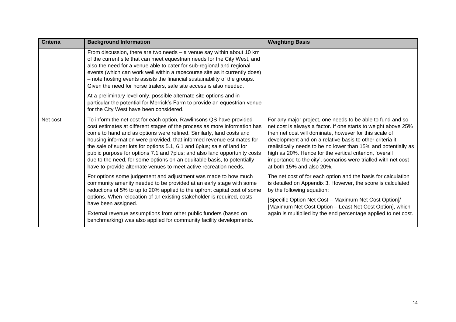<span id="page-13-0"></span>

| <b>Criteria</b> | <b>Background Information</b>                                                                                                                                                                                                                                                                                                                                                                                                                                                                                                                                                                             | <b>Weighting Basis</b>                                                                                                                                                                                                                                                                                                                                                                                                                                                         |
|-----------------|-----------------------------------------------------------------------------------------------------------------------------------------------------------------------------------------------------------------------------------------------------------------------------------------------------------------------------------------------------------------------------------------------------------------------------------------------------------------------------------------------------------------------------------------------------------------------------------------------------------|--------------------------------------------------------------------------------------------------------------------------------------------------------------------------------------------------------------------------------------------------------------------------------------------------------------------------------------------------------------------------------------------------------------------------------------------------------------------------------|
|                 | From discussion, there are two needs $-$ a venue say within about 10 km<br>of the current site that can meet equestrian needs for the City West, and<br>also the need for a venue able to cater for sub-regional and regional<br>events (which can work well within a racecourse site as it currently does)<br>- note hosting events assists the financial sustainability of the groups.<br>Given the need for horse trailers, safe site access is also needed.                                                                                                                                           |                                                                                                                                                                                                                                                                                                                                                                                                                                                                                |
|                 | At a preliminary level only, possible alternate site options and in<br>particular the potential for Merrick's Farm to provide an equestrian venue<br>for the City West have been considered.                                                                                                                                                                                                                                                                                                                                                                                                              |                                                                                                                                                                                                                                                                                                                                                                                                                                                                                |
| Net cost        | To inform the net cost for each option, Rawlinsons QS have provided<br>cost estimates at different stages of the process as more information has<br>come to hand and as options were refined. Similarly, land costs and<br>housing information were provided, that informed revenue estimates for<br>the sale of super lots for options 5.1, 6.1 and 6plus; sale of land for<br>public purpose for options 7.1 and 7plus; and also land opportunity costs<br>due to the need, for some options on an equitable basis, to potentially<br>have to provide alternate venues to meet active recreation needs. | For any major project, one needs to be able to fund and so<br>net cost is always a factor. If one starts to weight above 25%<br>then net cost will dominate, however for this scale of<br>development and on a relative basis to other criteria it<br>realistically needs to be no lower than 15% and potentially as<br>high as 20%. Hence for the vertical criterion, 'overall<br>importance to the city', scenarios were trialled with net cost<br>at both 15% and also 20%. |
|                 | For options some judgement and adjustment was made to how much<br>community amenity needed to be provided at an early stage with some<br>reductions of 5% to up to 20% applied to the upfront capital cost of some<br>options. When relocation of an existing stakeholder is required, costs<br>have been assigned.                                                                                                                                                                                                                                                                                       | The net cost of for each option and the basis for calculation<br>is detailed on Appendix 3. However, the score is calculated<br>by the following equation:<br>[Specific Option Net Cost - Maximum Net Cost Option]/<br>[Maximum Net Cost Option - Least Net Cost Option], which                                                                                                                                                                                                |
|                 | External revenue assumptions from other public funders (based on<br>benchmarking) was also applied for community facility developments.                                                                                                                                                                                                                                                                                                                                                                                                                                                                   | again is multiplied by the end percentage applied to net cost.                                                                                                                                                                                                                                                                                                                                                                                                                 |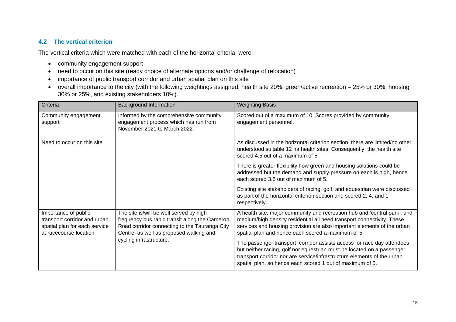#### **4.2 The vertical criterion**

The vertical criteria which were matched with each of the horizontal criteria, were:

- community engagement support
- need to occur on this site (ready choice of alternate options and/or challenge of relocation)
- importance of public transport corridor and urban spatial plan on this site
- overall importance to the city (with the following weightings assigned: health site 20%, green/active recreation 25% or 30%, housing 30% or 25%, and existing stakeholders 10%).

| Criteria                                                                                                        | <b>Background Information</b>                                                                                                                                                        | <b>Weighting Basis</b>                                                                                                                                                                                                                                                                   |
|-----------------------------------------------------------------------------------------------------------------|--------------------------------------------------------------------------------------------------------------------------------------------------------------------------------------|------------------------------------------------------------------------------------------------------------------------------------------------------------------------------------------------------------------------------------------------------------------------------------------|
| Community engagement<br>support                                                                                 | Informed by the comprehensive community<br>engagement process which has run from<br>November 2021 to March 2022                                                                      | Scored out of a maximum of 10. Scores provided by community<br>engagement personnel.                                                                                                                                                                                                     |
| Need to occur on this site                                                                                      |                                                                                                                                                                                      | As discussed in the horizontal criterion section, there are limited/no other<br>understood suitable 12 ha health sites. Consequently, the health site<br>scored 4.5 out of a maximum of 5.                                                                                               |
|                                                                                                                 |                                                                                                                                                                                      | There is greater flexibility how green and housing solutions could be<br>addressed but the demand and supply pressure on each is high, hence<br>each scored 3.5 out of maximum of 5.                                                                                                     |
|                                                                                                                 |                                                                                                                                                                                      | Existing site stakeholders of racing, golf, and equestrian were discussed<br>as part of the horizontal criterion section and scored 2, 4, and 1<br>respectively.                                                                                                                         |
| Importance of public<br>transport corridor and urban<br>spatial plan for each service<br>at racecourse location | The site is/will be well served by high<br>frequency bus rapid transit along the Cameron<br>Road corridor connecting to the Tauranga City<br>Centre, as well as proposed walking and | A health site, major community and recreation hub and 'central park', and<br>medium/high density residential all need transport connectivity. These<br>services and housing provision are also important elements of the urban<br>spatial plan and hence each scored a maximum of 5.     |
|                                                                                                                 | cycling infrastructure.                                                                                                                                                              | The passenger transport corridor assists access for race day attendees<br>but neither racing, golf nor equestrian must be located on a passenger<br>transport corridor nor are service/infrastructure elements of the urban<br>spatial plan, so hence each scored 1 out of maximum of 5. |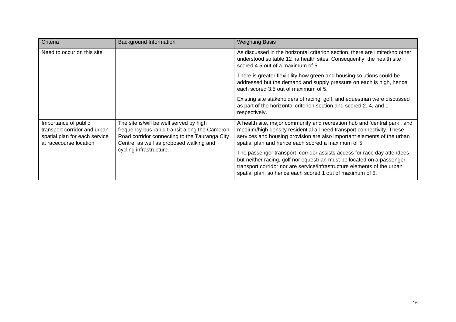| Criteria                                                                                                        | <b>Background Information</b>                                                                                                                                                        | <b>Weighting Basis</b>                                                                                                                                                                                                                                                                   |
|-----------------------------------------------------------------------------------------------------------------|--------------------------------------------------------------------------------------------------------------------------------------------------------------------------------------|------------------------------------------------------------------------------------------------------------------------------------------------------------------------------------------------------------------------------------------------------------------------------------------|
| Need to occur on this site                                                                                      |                                                                                                                                                                                      | As discussed in the horizontal criterion section, there are limited/no other<br>understood suitable 12 ha health sites. Consequently, the health site<br>scored 4.5 out of a maximum of 5.                                                                                               |
|                                                                                                                 |                                                                                                                                                                                      | There is greater flexibility how green and housing solutions could be<br>addressed but the demand and supply pressure on each is high, hence<br>each scored 3.5 out of maximum of 5.                                                                                                     |
|                                                                                                                 |                                                                                                                                                                                      | Existing site stakeholders of racing, golf, and equestrian were discussed<br>as part of the horizontal criterion section and scored 2, 4, and 1<br>respectively.                                                                                                                         |
| Importance of public<br>transport corridor and urban<br>spatial plan for each service<br>at racecourse location | The site is/will be well served by high<br>frequency bus rapid transit along the Cameron<br>Road corridor connecting to the Tauranga City<br>Centre, as well as proposed walking and | A health site, major community and recreation hub and 'central park', and<br>medium/high density residential all need transport connectivity. These<br>services and housing provision are also important elements of the urban<br>spatial plan and hence each scored a maximum of 5.     |
|                                                                                                                 | cycling infrastructure.                                                                                                                                                              | The passenger transport corridor assists access for race day attendees<br>but neither racing, golf nor equestrian must be located on a passenger<br>transport corridor nor are service/infrastructure elements of the urban<br>spatial plan, so hence each scored 1 out of maximum of 5. |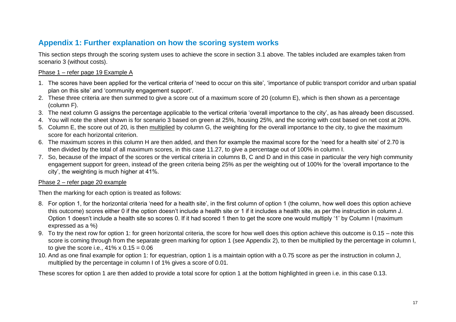## **Appendix 1: Further explanation on how the scoring system works**

This section steps through the scoring system uses to achieve the score in section 3.1 above. The tables included are examples taken from scenario 3 (without costs).

#### Phase 1 – refer page 19 Example A

- 1. The scores have been applied for the vertical criteria of 'need to occur on this site', 'importance of public transport corridor and urban spatial plan on this site' and 'community engagement support'.
- 2. These three criteria are then summed to give a score out of a maximum score of 20 (column E), which is then shown as a percentage (column F).
- 3. The next column G assigns the percentage applicable to the vertical criteria 'overall importance to the city', as has already been discussed.
- 4. You will note the sheet shown is for scenario 3 based on green at 25%, housing 25%, and the scoring with cost based on net cost at 20%.
- 5. Column E, the score out of 20, is then multiplied by column G, the weighting for the overall importance to the city, to give the maximum score for each horizontal criterion.
- 6. The maximum scores in this column H are then added, and then for example the maximal score for the 'need for a health site' of 2.70 is then divided by the total of all maximum scores, in this case 11.27, to give a percentage out of 100% in column I.
- 7. So, because of the impact of the scores or the vertical criteria in columns B, C and D and in this case in particular the very high community engagement support for green, instead of the green criteria being 25% as per the weighting out of 100% for the 'overall importance to the city', the weighting is much higher at 41%.

#### <span id="page-16-0"></span>Phase 2 – refer page 20 example

Then the marking for each option is treated as follows:

- 8. For option 1, for the horizontal criteria 'need for a health site', in the first column of option 1 (the column, how well does this option achieve this outcome) scores either 0 if the option doesn't include a health site or 1 if it includes a health site, as per the instruction in column J. Option 1 doesn't include a health site so scores 0. If it had scored 1 then to get the score one would multiply '1' by Column I (maximum expressed as a %)
- 9. To try the next row for option 1: for green horizontal criteria, the score for how well does this option achieve this outcome is 0.15 note this score is coming through from the separate green marking for option 1 (see Appendix 2), to then be multiplied by the percentage in column I, to give the score i.e.,  $41\% \times 0.15 = 0.06$
- 10. And as one final example for option 1: for equestrian, option 1 is a maintain option with a 0.75 score as per the instruction in column J, multiplied by the percentage in column I of 1% gives a score of 0.01.

These scores for option 1 are then added to provide a total score for option 1 at the bottom highlighted in green i.e. in this case 0.13.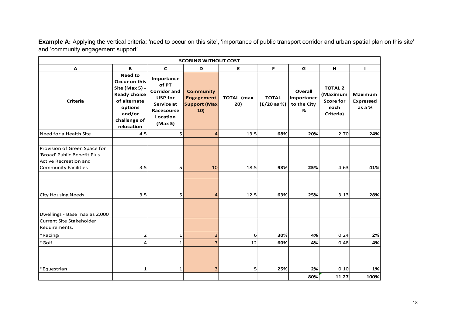**Example A:** Applying the vertical criteria: 'need to occur on this site', 'importance of public transport corridor and urban spatial plan on this site' and 'community engagement support'

| <b>SCORING WITHOUT COST</b>                                                                                                                             |                                                                                                                                      |                                                                                                                 |                                                                     |                          |                             |                                                  |                                                                     |                                              |  |  |  |  |
|---------------------------------------------------------------------------------------------------------------------------------------------------------|--------------------------------------------------------------------------------------------------------------------------------------|-----------------------------------------------------------------------------------------------------------------|---------------------------------------------------------------------|--------------------------|-----------------------------|--------------------------------------------------|---------------------------------------------------------------------|----------------------------------------------|--|--|--|--|
| A                                                                                                                                                       | B                                                                                                                                    | $\mathbf{C}$                                                                                                    | D                                                                   | E.                       | F.                          | G                                                | н                                                                   | $\mathbf{I}$                                 |  |  |  |  |
| <b>Criteria</b>                                                                                                                                         | Need to<br>Occur on this<br>Site (Max 5) -<br><b>Ready choice</b><br>of alternate<br>options<br>and/or<br>challenge of<br>relocation | Importance<br>of PT<br><b>Corridor and</b><br><b>USP for</b><br>Service at<br>Racecourse<br>Location<br>(Max 5) | <b>Community</b><br><b>Engagement</b><br><b>Support (Max</b><br>10) | <b>TOTAL</b> (max<br>20) | <b>TOTAL</b><br>(E/20 as %) | <b>Overall</b><br>Importance<br>to the City<br>% | <b>TOTAL 2</b><br>(Maximum<br><b>Score for</b><br>each<br>Criteria) | <b>Maximum</b><br><b>Expressed</b><br>as a % |  |  |  |  |
| Need for a Health Site                                                                                                                                  | 4.5                                                                                                                                  | 5                                                                                                               | $\overline{4}$                                                      | 13.5                     | 68%                         | 20%                                              | 2.70                                                                | 24%                                          |  |  |  |  |
| Provision of Green Space for<br>'Broad' Public Benefit Plus<br><b>Active Recreation and</b><br><b>Community Facilities</b><br><b>City Housing Needs</b> | 3.5<br>3.5                                                                                                                           | 5<br>5                                                                                                          | 10<br>$\overline{4}$                                                | 18.5<br>12.5             | 93%<br>63%                  | 25%<br>25%                                       | 4.63<br>3.13                                                        | 41%<br>28%                                   |  |  |  |  |
| Dwellings - Base max as 2,000<br>Current Site Stakeholder<br>Requirements:                                                                              |                                                                                                                                      |                                                                                                                 |                                                                     |                          |                             |                                                  |                                                                     |                                              |  |  |  |  |
| *Racing1                                                                                                                                                | 2                                                                                                                                    | $\mathbf 1$                                                                                                     | 3                                                                   | 6                        | 30%                         | 4%                                               | 0.24                                                                | 2%                                           |  |  |  |  |
| *Golf                                                                                                                                                   | 4                                                                                                                                    | $\mathbf{1}$                                                                                                    | $\overline{7}$                                                      | 12                       | 60%                         | 4%                                               | 0.48                                                                | 4%                                           |  |  |  |  |
| *Equestrian                                                                                                                                             | $\mathbf{1}$                                                                                                                         | 1                                                                                                               | 3                                                                   | 5                        | 25%                         | 2%<br>80%                                        | 0.10<br>11.27                                                       | 1%<br>100%                                   |  |  |  |  |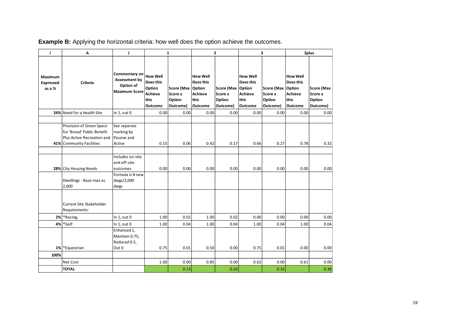| $\mathbf{I}$                   | Α                                                                                                                | J                                                                                       | $\mathbf{1}$                                                                       |                                                    |                                                                   | 2                                                         |                                                                          | 3                                                  | 3plus                                                             |                                                    |  |
|--------------------------------|------------------------------------------------------------------------------------------------------------------|-----------------------------------------------------------------------------------------|------------------------------------------------------------------------------------|----------------------------------------------------|-------------------------------------------------------------------|-----------------------------------------------------------|--------------------------------------------------------------------------|----------------------------------------------------|-------------------------------------------------------------------|----------------------------------------------------|--|
| Maximum<br>Expressed<br>as a % | Criteria                                                                                                         | Commentary on<br><b>Assessment by</b><br>Option of<br><b>Maximum Score</b>              | <b>How Well</b><br>Does this<br>Option<br><b>Achieve</b><br>this<br><b>Outcome</b> | Score (Max Option<br>Score x<br>Option<br>Outcome) | <b>How Well</b><br>Does this<br>Achieve<br>this<br><b>Outcome</b> | Score (Max Option<br><b>Score x</b><br>Option<br>Outcome) | <b>How Well</b><br>Does this<br><b>Achieve</b><br>this<br><b>Outcome</b> | Score (Max Option<br>Score x<br>Option<br>Outcome) | <b>How Well</b><br>Does this<br>Achieve<br>this<br><b>Outcome</b> | <b>Score (Max</b><br>Score x<br>Option<br>Outcome) |  |
|                                | 24% Need for a Health Site                                                                                       | In $1$ , out $0$                                                                        | 0.00                                                                               | 0.00                                               | 0.00                                                              | 0.00                                                      | 0.00                                                                     | 0.00                                               | 0.00                                                              | 0.00                                               |  |
|                                | Provision of Green Space<br>for 'Broad' Public Benefit<br>Plus Active Recreation and<br>41% Community Facilities | See separate<br>marking by<br>Passive and<br>Active<br>Includes on-site<br>and off-site | 0.15                                                                               | 0.06                                               | 0.42                                                              | 0.17                                                      | 0.66                                                                     | 0.27                                               | 0.78                                                              | 0.32                                               |  |
|                                | 28% City Housing Needs<br>Dwellings - Base max as<br>2,000                                                       | outcomes<br>Formula is # new<br>dwgs/2,000<br>dwgs                                      | 0.00                                                                               | 0.00                                               | 0.00                                                              | 0.00                                                      | 0.00                                                                     | 0.00                                               | 0.00                                                              | 0.00                                               |  |
|                                | Current Site Stakeholder<br>Requirements:                                                                        |                                                                                         |                                                                                    |                                                    |                                                                   |                                                           |                                                                          |                                                    |                                                                   |                                                    |  |
| 2%                             | *Racing1                                                                                                         | In $1$ , out $0$                                                                        | 1.00                                                                               | 0.02                                               | 1.00                                                              | 0.02                                                      | 0.00                                                                     | 0.00                                               | 0.00                                                              | 0.00                                               |  |
| 4%                             | *Golf                                                                                                            | In $1$ , out $0$<br>Enhanced 1,<br>Maintain 0.75,<br>Reduced 0.5,                       | 1.00                                                                               | 0.04                                               | 1.00                                                              | 0.04                                                      | 1.00                                                                     | 0.04                                               | 1.00                                                              | 0.04                                               |  |
|                                | 1% Equestrian                                                                                                    | Out 0                                                                                   | 0.75                                                                               | 0.01                                               | 0.50                                                              | 0.00                                                      | 0.75                                                                     | 0.01                                               | 0.00                                                              | 0.00                                               |  |
| 100%                           |                                                                                                                  |                                                                                         |                                                                                    |                                                    |                                                                   |                                                           |                                                                          |                                                    |                                                                   |                                                    |  |
|                                | Net Cost                                                                                                         |                                                                                         | 1.00                                                                               | 0.00                                               | 0.85                                                              | 0.00                                                      | 0.62                                                                     | 0.00                                               | 0.61                                                              | 0.00                                               |  |
|                                | <b>TOTAL</b>                                                                                                     |                                                                                         |                                                                                    | 0.13                                               |                                                                   | 0.24                                                      |                                                                          | 0.32                                               |                                                                   | 0.36                                               |  |

|  |  |  |  |  |  | <b>Example B:</b> Applying the horizontal criteria: how well does the option achieve the outcomes. |
|--|--|--|--|--|--|----------------------------------------------------------------------------------------------------|
|  |  |  |  |  |  |                                                                                                    |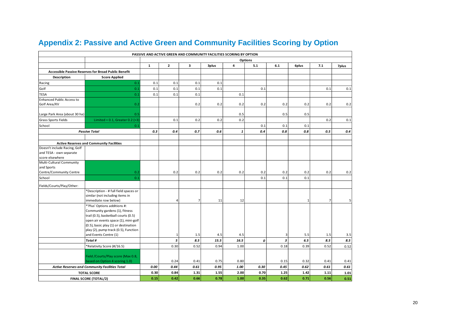<span id="page-19-0"></span>

| PASSIVE AND ACTIVE GREEN AND COMMUNITY FACILITIES SCORING BY OPTION |                                                                                                                                                                                                                                |                |              |                |       |                    |      |      |              |                |              |  |  |  |
|---------------------------------------------------------------------|--------------------------------------------------------------------------------------------------------------------------------------------------------------------------------------------------------------------------------|----------------|--------------|----------------|-------|--------------------|------|------|--------------|----------------|--------------|--|--|--|
|                                                                     |                                                                                                                                                                                                                                | <b>Options</b> |              |                |       |                    |      |      |              |                |              |  |  |  |
|                                                                     |                                                                                                                                                                                                                                | $\mathbf{1}$   | $\mathbf{2}$ | 3              | 3plus | 4                  | 5.1  | 6.1  | 6plus        | 7.1            | 7plus        |  |  |  |
|                                                                     | Accessible Passive Reserves for Broad Public Benefit                                                                                                                                                                           |                |              |                |       |                    |      |      |              |                |              |  |  |  |
| <b>Description</b>                                                  | <b>Score Applied</b>                                                                                                                                                                                                           |                |              |                |       |                    |      |      |              |                |              |  |  |  |
| Racing                                                              | 0.1                                                                                                                                                                                                                            | 0.1            | 0.1          | 0.1            | 0.1   |                    |      |      |              |                |              |  |  |  |
| Golf                                                                | 0.1                                                                                                                                                                                                                            | 0.1            | 0.1          | 0.1            | 0.1   |                    | 0.1  |      |              | 0.1            | 0.1          |  |  |  |
| <b>TESA</b>                                                         | 0.1                                                                                                                                                                                                                            | 0.1            | 0.1          | 0.1            |       | 0.1                |      |      |              |                |              |  |  |  |
| <b>Enhanced Public Access to</b>                                    |                                                                                                                                                                                                                                |                |              |                |       |                    |      |      |              |                |              |  |  |  |
| Golf Area/KV                                                        | 0.2                                                                                                                                                                                                                            |                |              | 0.2            | 0.2   | 0.2                | 0.2  | 0.2  | 0.2          | 0.2            | 0.2          |  |  |  |
| Large Park Area (about 30 ha)                                       | 0.5                                                                                                                                                                                                                            |                |              |                |       | 0.5                |      | 0.5  | 0.5          |                |              |  |  |  |
| <b>Grass Sports Fields</b>                                          | Limited = $0.1$ , Greater $0.2$ (>3)                                                                                                                                                                                           |                | 0.1          | 0.2            | 0.2   | 0.2                |      |      |              | 0.2            | 0.1          |  |  |  |
| School                                                              | 0.1                                                                                                                                                                                                                            |                |              |                |       |                    | 0.1  | 0.1  | 0.1          |                |              |  |  |  |
|                                                                     | <b>Passive Total</b>                                                                                                                                                                                                           | 0.3            | 0.4          | 0.7            | 0.6   | $\pmb{\mathit{1}}$ | 0.4  | 0.8  | 0.8          | 0.5            | 0.4          |  |  |  |
|                                                                     |                                                                                                                                                                                                                                |                |              |                |       |                    |      |      |              |                |              |  |  |  |
|                                                                     | <b>Active Reserves and Community Facilities</b>                                                                                                                                                                                |                |              |                |       |                    |      |      |              |                |              |  |  |  |
| Doesn't include Racing, Golf                                        |                                                                                                                                                                                                                                |                |              |                |       |                    |      |      |              |                |              |  |  |  |
| and TESA - own separate                                             |                                                                                                                                                                                                                                |                |              |                |       |                    |      |      |              |                |              |  |  |  |
| score elsewhere                                                     |                                                                                                                                                                                                                                |                |              |                |       |                    |      |      |              |                |              |  |  |  |
| Multi-Cultural Community<br>and Sports                              |                                                                                                                                                                                                                                |                |              |                |       |                    |      |      |              |                |              |  |  |  |
| Centre/Community Centre                                             | 0.2                                                                                                                                                                                                                            |                | 0.2          | 0.2            | 0.2   | 0.2                | 0.2  | 0.2  | 0.2          | 0.2            | 0.2          |  |  |  |
| School                                                              | 0.1                                                                                                                                                                                                                            |                |              |                |       |                    | 0.1  | 0.1  | 0.1          |                |              |  |  |  |
| Fields/Courts/Play/Other:                                           |                                                                                                                                                                                                                                |                |              |                |       |                    |      |      |              |                |              |  |  |  |
|                                                                     | *Description - # full field spaces or<br>similar (not including items in<br>immediate row below)                                                                                                                               |                | 4            | $\overline{7}$ | 11    | 12                 |      |      | $\mathbf{1}$ | $\overline{7}$ |              |  |  |  |
|                                                                     | *'Plus' Options additions #:<br>Community gardens (1), fitness<br>trail (0.5), basketball courts (0.5)<br>open air events space (1), mini-golf<br>(0.5), basic play (1) or destination<br>play (2), pump track (0.5), Function |                |              |                |       |                    |      |      |              |                |              |  |  |  |
|                                                                     | and Events Centre (1)                                                                                                                                                                                                          |                | 1            | 1.5            | 4.5   | 4.5                |      | 3    | 5.5          | 1.5            | 3.5          |  |  |  |
|                                                                     | Total#                                                                                                                                                                                                                         |                | 5            | 8.5            | 15.5  | 16.5               | 0    | 3    | $6.5\,$      | 8.5            | 8.5          |  |  |  |
|                                                                     | *Relativity Score (#/16.5)                                                                                                                                                                                                     |                | 0.30         | 0.52           | 0.94  | 1.00               |      | 0.18 | 0.39         | 0.52           | 0.52         |  |  |  |
|                                                                     | Field /Courts/Play score (Max 0.8,                                                                                                                                                                                             |                | 0.24         | 0.41           | 0.75  | 0.80               |      | 0.15 | 0.32         | 0.41           |              |  |  |  |
|                                                                     | based on Option 4 scoring 1.0)                                                                                                                                                                                                 |                |              | 0.61           | 0.95  | 1.00               | 0.30 | 0.45 | 0.62         |                | 0.41         |  |  |  |
|                                                                     | <b>Active Reserves and Community Facilities Total</b><br><b>TOTAL SCORE</b>                                                                                                                                                    | 0.00<br>0.30   | 0.44<br>0.84 | 1.31           | 1.55  | 2.00               | 0.70 | 1.25 | 1.42         | 0.61<br>1.11   | 0.61<br>1.01 |  |  |  |
|                                                                     |                                                                                                                                                                                                                                | 0.15           | 0.42         | 0.66           | 0.78  | 1.00               | 0.35 | 0.62 | 0.71         | 0.56           |              |  |  |  |
| <b>FINAL SCORE (TOTAL/2)</b>                                        |                                                                                                                                                                                                                                |                |              |                |       |                    |      |      |              |                | 0.51         |  |  |  |

# **Appendix 2: Passive and Active Green and Community Facilities Scoring by Option**